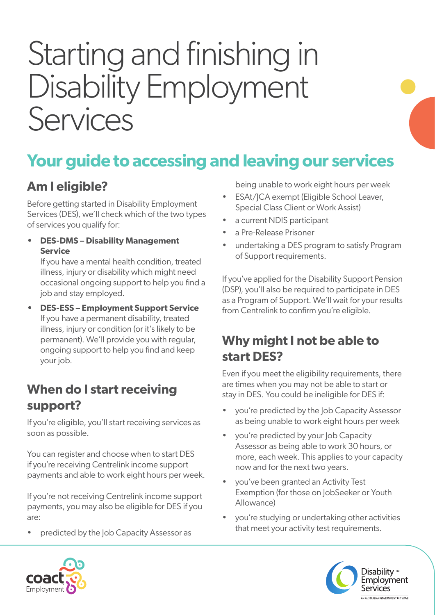# Starting and finishing in Disability Employment Services

## **Your guide to accessing and leaving our services**

### **Am I eligible?**

Before getting started in Disability Employment Services (DES), we'll check which of the two types of services you qualify for:

**• DES-DMS – Disability Management Service**

If you have a mental health condition, treated illness, injury or disability which might need occasional ongoing support to help you find a job and stay employed.

**• DES-ESS – Employment Support Service** If you have a permanent disability, treated illness, injury or condition (or it's likely to be permanent). We'll provide you with regular, ongoing support to help you find and keep your job.

#### **When do I start receiving support?**

If you're eligible, you'll start receiving services as soon as possible.

You can register and choose when to start DES if you're receiving Centrelink income support payments and able to work eight hours per week.

If you're not receiving Centrelink income support payments, you may also be eligible for DES if you are:

• predicted by the Job Capacity Assessor as

being unable to work eight hours per week

- ESAt/JCA exempt (Eligible School Leaver, Special Class Client or Work Assist)
- a current NDIS participant
- a Pre-Release Prisoner
- undertaking a DES program to satisfy Program of Support requirements.

If you've applied for the Disability Support Pension (DSP), you'll also be required to participate in DES as a Program of Support. We'll wait for your results from Centrelink to confirm you're eligible.

#### **Why might I not be able to start DES?**

Even if you meet the eligibility requirements, there are times when you may not be able to start or stay in DES. You could be ineligible for DES if:

- you're predicted by the Job Capacity Assessor as being unable to work eight hours per week
- you're predicted by your Job Capacity Assessor as being able to work 30 hours, or more, each week. This applies to your capacity now and for the next two years.
- you've been granted an Activity Test Exemption (for those on JobSeeker or Youth Allowance)
- you're studying or undertaking other activities that meet your activity test requirements.